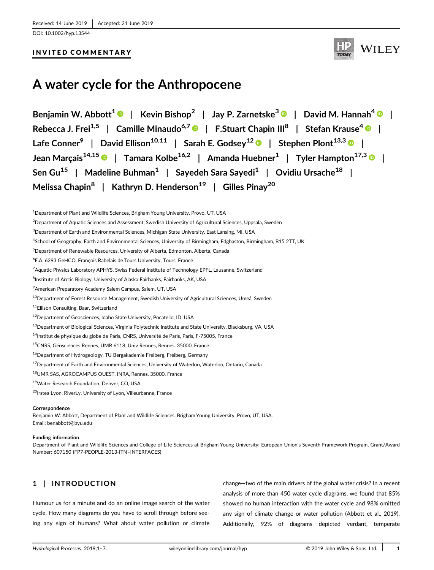[DOI: 10.1002/hyp.13544](https://doi.org/10.1002/hyp.13544)

## INVITED COMMENTARY



# **A water cycle for the Anthropocene**

**Benjamin W. Abbott<sup>1</sup> | Kevin Bishop2 | Jay P. Zarnetske<sup>3</sup> | David M. Hannah4 | Rebecca J. Frei1,5 | Camille Minaudo6,7 | F.Stuart Chapin III<sup>8</sup> | Stefan Krause4 | Lafe Conner9 | David Ellison10,11 | Sarah E. Godsey<sup>12</sup> | Stephen Plont13,3 | Jean Marçais14,15 | Tamara Kolbe16,2 | Amanda Huebner<sup>1</sup> | Tyler Hampton17,3 | Sen Gu<sup>15</sup> | Madeline Buhman1 | Sayedeh Sara Sayedi<sup>1</sup> | Ovidiu Ursache18 | Melissa Chapin<sup>8</sup> | Kathryn D. Henderson<sup>19</sup> | Gilles Pinay<sup>20</sup>** 

5 Department of Renewable Resources, University of Alberta, Edmonton, Alberta, Canada

<sup>8</sup>Institute of Arctic Biology, University of Alaska Fairbanks, Fairbanks, AK, USA

- 15CNRS, Géosciences Rennes, UMR 6118, Univ Rennes, Rennes, 35000, France
- <sup>16</sup>Department of Hydrogeology, TU Bergakademie Freiberg, Freiberg, Germany
- <sup>17</sup> Department of Earth and Environmental Sciences, University of Waterloo, Waterloo, Ontario, Canada
- 18UMR SAS, AGROCAMPUS OUEST, INRA, Rennes, 35000, France
- 19Water Research Foundation, Denver, CO, USA
- <sup>20</sup>Irstea Lyon, RiverLy, University of Lyon, Villeurbanne, France

#### **Correspondence**

Benjamin W. Abbott, Department of Plant and Wildlife Sciences, Brigham Young University, Provo, UT, USA. Email: [benabbott@byu.edu](mailto:benabbott@byu.edu)

#### **Funding information**

Department of Plant and Wildlife Sciences and College of Life Sciences at Brigham Young University; European Union's Seventh Framework Program, Grant/Award Number: 607150 (FP7-PEOPLE-2013-ITN–INTERFACES)

# **1** | **INTRODUCTION**

Humour us for a minute and do an online image search of the water cycle. How many diagrams do you have to scroll through before seeing any sign of humans? What about water pollution or climate

change—two of the main drivers of the global water crisis? In a recent analysis of more than 450 water cycle diagrams, we found that 85% showed no human interaction with the water cycle and 98% omitted any sign of climate change or water pollution (Abbott et al., 2019). Additionally, 92% of diagrams depicted verdant, temperate

 $^{\rm 1}$ Department of Plant and Wildlife Sciences, Brigham Young University, Provo, UT, USA

 $^2$ Department of Aquatic Sciences and Assessment, Swedish University of Agricultural Sciences, Uppsala, Sweden

 $^3$ Department of Earth and Environmental Sciences, Michigan State University, East Lansing, MI, USA

<sup>4</sup> School of Geography, Earth and Environmental Sciences, University of Birmingham, Edgbaston, Birmingham, B15 2TT, UK

<sup>6</sup> E.A. 6293 GeHCO, François Rabelais de Tours University, Tours, France

<sup>7</sup> Aquatic Physics Laboratory APHYS, Swiss Federal Institute of Technology EPFL, Lausanne, Switzerland

<sup>9</sup> American Preparatory Academy Salem Campus, Salem, UT, USA

<sup>&</sup>lt;sup>10</sup>Department of Forest Resource Management, Swedish University of Agricultural Sciences, Umeå, Sweden

<sup>&</sup>lt;sup>11</sup>Ellison Consulting, Baar, Switzerland

<sup>12</sup>Department of Geosciences, Idaho State University, Pocatello, ID, USA

<sup>&</sup>lt;sup>13</sup>Department of Biological Sciences, Virginia Polytechnic Institute and State University, Blacksburg, VA, USA

<sup>&</sup>lt;sup>14</sup>Institut de physique du globe de Paris, CNRS, Université de Paris, Paris, F-75005, France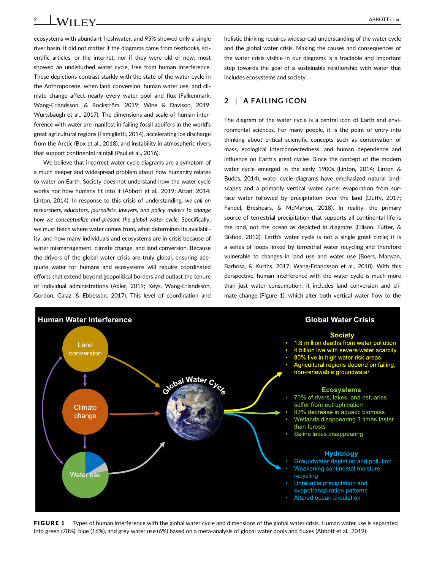**2 ABBOTT ET AL. ABBOTT ET AL.** 

ecosystems with abundant freshwater, and 95% showed only a single river basin. It did not matter if the diagrams came from textbooks, scientific articles, or the internet, nor if they were old or new; most showed an undisturbed water cycle, free from human interference. These depictions contrast starkly with the state of the water cycle in the Anthropocene, when land conversion, human water use, and climate change affect nearly every water pool and flux (Falkenmark, Wang-Erlandsson, & Rockström, 2019; Wine & Davison, 2019; Wurtsbaugh et al., 2017). The dimensions and scale of human interference with water are manifest in failing fossil aquifers in the world's great agricultural regions (Famiglietti, 2014), accelerating ice discharge from the Arctic (Box et al., 2018), and instability in atmospheric rivers that support continental rainfall (Paul et al., 2016).

We believe that incorrect water cycle diagrams are a symptom of a much deeper and widespread problem about how humanity relates to water on Earth. Society does not understand how the water cycle works nor how humans fit into it (Abbott et al., 2019; Attari, 2014; Linton, 2014). In response to this crisis of understanding, *we call on researchers, educators, journalists, lawyers, and policy makers to change how we conceptualize and present the global water cycle.* Specifically, we must teach where water comes from, what determines its availability, and how many individuals and ecosystems are in crisis because of water mismanagement, climate change, and land conversion. Because the drivers of the global water crisis are truly global, ensuring adequate water for humans and ecosystems will require coordinated efforts that extend beyond geopolitical borders and outlast the tenure of individual administrations (Adler, 2019; Keys, Wang-Erlandsson, Gordon, Galaz, & Ebbesson, 2017). This level of coordination and

holistic thinking requires widespread understanding of the water cycle and the global water crisis. Making the causes and consequences of the water crisis visible in our diagrams is a tractable and important step towards the goal of a sustainable relationship with water that includes ecosystems and society.

# **2** | **A FAILING ICON**

The diagram of the water cycle is a central icon of Earth and environmental sciences. For many people, it is the point of entry into thinking about critical scientific concepts such as conservation of mass, ecological interconnectedness, and human dependence and influence on Earth's great cycles. Since the concept of the modern water cycle emerged in the early 1900s (Linton, 2014; Linton & Budds, 2014), water cycle diagrams have emphasized natural landscapes and a primarily vertical water cycle: evaporation from surface water followed by precipitation over the land (Duffy, 2017; Fandel, Breshears, & McMahon, 2018). In reality, the primary source of terrestrial precipitation that supports all continental life is the land, not the ocean as depicted in diagrams (Ellison, Futter, & Bishop, 2012). Earth's water cycle is not a single great circle; it is a series of loops linked by terrestrial water recycling and therefore vulnerable to changes in land use and water use (Boers, Marwan, Barbosa, & Kurths, 2017; Wang-Erlandsson et al., 2018). With this perspective, human interference with the water cycle is much more than just water consumption; it includes land conversion and climate change (Figure 1), which alter both vertical water flow to the



FIGURE 1 Types of human interference with the global water cycle and dimensions of the global water crisis. Human water use is separated into green (78%), blue (16%), and grey water use (6%) based on a meta-analysis of global water pools and fluxes (Abbott et al., 2019)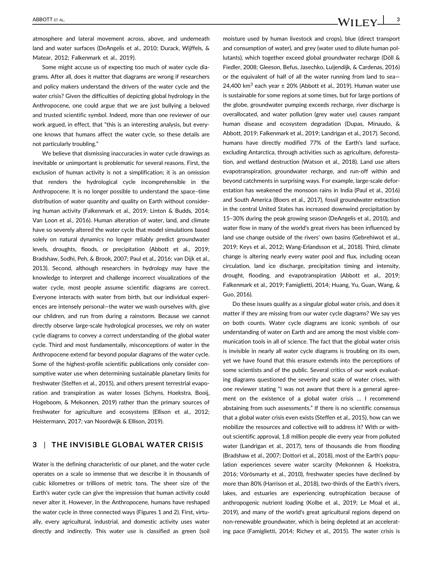atmosphere and lateral movement across, above, and underneath land and water surfaces (DeAngelis et al., 2010; Durack, Wijffels, & Matear, 2012; Falkenmark et al., 2019).

Some might accuse us of expecting too much of water cycle diagrams. After all, does it matter that diagrams are wrong if researchers and policy makers understand the drivers of the water cycle and the water crisis? Given the difficulties of depicting global hydrology in the Anthropocene, one could argue that we are just bullying a beloved and trusted scientific symbol. Indeed, more than one reviewer of our work argued, in effect, that "this is an interesting analysis, but everyone knows that humans affect the water cycle, so these details are not particularly troubling."

We believe that dismissing inaccuracies in water cycle drawings as inevitable or unimportant is problematic for several reasons. First, the exclusion of human activity is not a simplification; it is an omission that renders the hydrological cycle incomprehensible in the Anthropocene. It is no longer possible to understand the space–time distribution of water quantity and quality on Earth without considering human activity (Falkenmark et al., 2019; Linton & Budds, 2014; Van Loon et al., 2016). Human alteration of water, land, and climate have so severely altered the water cycle that model simulations based solely on natural dynamics no longer reliably predict groundwater levels, droughts, floods, or precipitation (Abbott et al., 2019; Bradshaw, Sodhi, Peh, & Brook, 2007; Paul et al., 2016; van Dijk et al., 2013). Second, although researchers in hydrology may have the knowledge to interpret and challenge incorrect visualizations of the water cycle, most people assume scientific diagrams are correct. Everyone interacts with water from birth, but our individual experiences are intensely personal—the water we wash ourselves with, give our children, and run from during a rainstorm. Because we cannot directly observe large-scale hydrological processes, we rely on water cycle diagrams to convey a correct understanding of the global water cycle. Third and most fundamentally, misconceptions of water in the Anthropocene extend far beyond popular diagrams of the water cycle. Some of the highest-profile scientific publications only consider consumptive water use when determining sustainable planetary limits for freshwater (Steffen et al., 2015), and others present terrestrial evaporation and transpiration as water losses (Schyns, Hoekstra, Booij, Hogeboom, & Mekonnen, 2019) rather than the primary sources of freshwater for agriculture and ecosystems (Ellison et al., 2012; Heistermann, 2017; van Noordwijk & Ellison, 2019).

## **3** | **THE INVISIBLE GLOBAL WATER CRISIS**

Water is the defining characteristic of our planet, and the water cycle operates on a scale so immense that we describe it in thousands of cubic kilometres or trillions of metric tons. The sheer size of the Earth's water cycle can give the impression that human activity could never alter it. However, in the Anthropocene, humans have reshaped the water cycle in three connected ways (Figures 1 and 2). First, virtually, every agricultural, industrial, and domestic activity uses water directly and indirectly. This water use is classified as green (soil moisture used by human livestock and crops), blue (direct transport and consumption of water), and grey (water used to dilute human pollutants), which together exceed global groundwater recharge (Döll & Fiedler, 2008; Gleeson, Befus, Jasechko, Luijendijk, & Cardenas, 2016) or the equivalent of half of all the water running from land to sea— 24,400 km<sup>3</sup> each year  $\pm$  20% (Abbott et al., 2019). Human water use is sustainable for some regions at some times, but for large portions of the globe, groundwater pumping exceeds recharge, river discharge is overallocated, and water pollution (grey water use) causes rampant human disease and ecosystem degradation (Dupas, Minaudo, & Abbott, 2019; Falkenmark et al., 2019; Landrigan et al., 2017). Second, humans have directly modified 77% of the Earth's land surface, excluding Antarctica, through activities such as agriculture, deforestation, and wetland destruction (Watson et al., 2018). Land use alters evapotranspiration, groundwater recharge, and run-off within and beyond catchments in surprising ways. For example, large-scale deforestation has weakened the monsoon rains in India (Paul et al., 2016) and South America (Boers et al., 2017), fossil groundwater extraction in the central United States has increased downwind precipitation by 15–30% during the peak growing season (DeAngelis et al., 2010), and water flow in many of the world's great rivers has been influenced by land use change outside of the rivers' own basins (Gebrehiwot et al., 2019; Keys et al., 2012; Wang-Erlandsson et al., 2018). Third, climate change is altering nearly every water pool and flux, including ocean circulation, land ice discharge, precipitation timing and intensity, drought, flooding, and evapotranspiration (Abbott et al., 2019; Falkenmark et al., 2019; Famiglietti, 2014; Huang, Yu, Guan, Wang, & Guo, 2016).

Do these issues qualify as a singular global water crisis, and does it matter if they are missing from our water cycle diagrams? We say yes on both counts. Water cycle diagrams are iconic symbols of our understanding of water on Earth and are among the most visible communication tools in all of science. The fact that the global water crisis is invisible in nearly all water cycle diagrams is troubling on its own, yet we have found that this erasure extends into the perceptions of some scientists and of the public. Several critics of our work evaluating diagrams questioned the severity and scale of water crises, with one reviewer stating "I was not aware that there is a general agreement on the existence of a global water crisis … I recommend abstaining from such assessments." If there is no scientific consensus that a global water crisis even exists (Steffen et al., 2015), how can we mobilize the resources and collective will to address it? With or without scientific approval, 1.8 million people die every year from polluted water (Landrigan et al., 2017), tens of thousands die from flooding (Bradshaw et al., 2007; Dottori et al., 2018), most of the Earth's population experiences severe water scarcity (Mekonnen & Hoekstra, 2016; Vörösmarty et al., 2010), freshwater species have declined by more than 80% (Harrison et al., 2018), two-thirds of the Earth's rivers, lakes, and estuaries are experiencing eutrophication because of anthropogenic nutrient loading (Kolbe et al., 2019; Le Moal et al., 2019), and many of the world's great agricultural regions depend on non-renewable groundwater, which is being depleted at an accelerating pace (Famiglietti, 2014; Richey et al., 2015). The water crisis is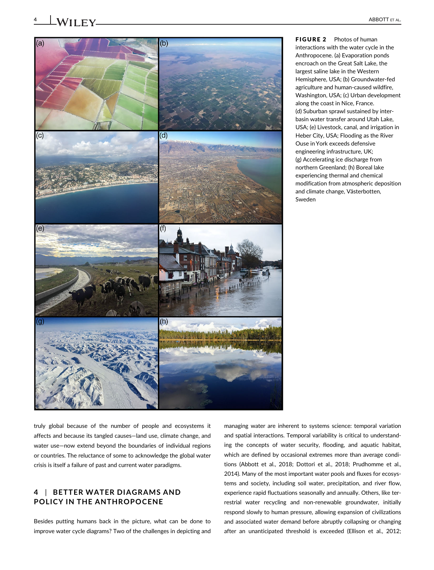

FIGURE 2 Photos of human interactions with the water cycle in the Anthropocene. (a) Evaporation ponds encroach on the Great Salt Lake, the largest saline lake in the Western Hemisphere, USA; (b) Groundwater-fed agriculture and human-caused wildfire, Washington, USA; (c) Urban development along the coast in Nice, France. (d) Suburban sprawl sustained by interbasin water transfer around Utah Lake, USA; (e) Livestock, canal, and irrigation in Heber City, USA; Flooding as the River Ouse in York exceeds defensive engineering infrastructure, UK; (g) Accelerating ice discharge from northern Greenland; (h) Boreal lake experiencing thermal and chemical modification from atmospheric deposition and climate change, Västerbotten, Sweden

truly global because of the number of people and ecosystems it affects and because its tangled causes—land use, climate change, and water use—now extend beyond the boundaries of individual regions or countries. The reluctance of some to acknowledge the global water crisis is itself a failure of past and current water paradigms.

# **4** | **BETTER WATER DIAGRAMS AND POLICY IN THE ANTHROPOCENE**

Besides putting humans back in the picture, what can be done to improve water cycle diagrams? Two of the challenges in depicting and

managing water are inherent to systems science: temporal variation and spatial interactions. Temporal variability is critical to understanding the concepts of water security, flooding, and aquatic habitat, which are defined by occasional extremes more than average conditions (Abbott et al., 2018; Dottori et al., 2018; Prudhomme et al., 2014). Many of the most important water pools and fluxes for ecosystems and society, including soil water, precipitation, and river flow, experience rapid fluctuations seasonally and annually. Others, like terrestrial water recycling and non-renewable groundwater, initially respond slowly to human pressure, allowing expansion of civilizations and associated water demand before abruptly collapsing or changing after an unanticipated threshold is exceeded (Ellison et al., 2012;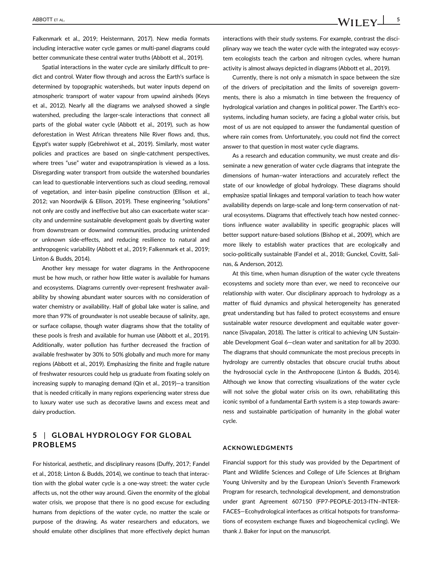Falkenmark et al., 2019; Heistermann, 2017). New media formats including interactive water cycle games or multi-panel diagrams could better communicate these central water truths (Abbott et al., 2019).

Spatial interactions in the water cycle are similarly difficult to predict and control. Water flow through and across the Earth's surface is determined by topographic watersheds, but water inputs depend on atmospheric transport of water vapour from upwind airsheds (Keys et al., 2012). Nearly all the diagrams we analysed showed a single watershed, precluding the larger-scale interactions that connect all parts of the global water cycle (Abbott et al., 2019), such as how deforestation in West African threatens Nile River flows and, thus, Egypt's water supply (Gebrehiwot et al., 2019). Similarly, most water policies and practices are based on single-catchment perspectives, where trees "use" water and evapotranspiration is viewed as a loss. Disregarding water transport from outside the watershed boundaries can lead to questionable interventions such as cloud seeding, removal of vegetation, and inter-basin pipeline construction (Ellison et al., 2012; van Noordwijk & Ellison, 2019). These engineering "solutions" not only are costly and ineffective but also can exacerbate water scarcity and undermine sustainable development goals by diverting water from downstream or downwind communities, producing unintended or unknown side-effects, and reducing resilience to natural and anthropogenic variability (Abbott et al., 2019; Falkenmark et al., 2019; Linton & Budds, 2014).

Another key message for water diagrams in the Anthropocene must be how much, or rather how little water is available for humans and ecosystems. Diagrams currently over-represent freshwater availability by showing abundant water sources with no consideration of water chemistry or availability. Half of global lake water is saline, and more than 97% of groundwater is not useable because of salinity, age, or surface collapse, though water diagrams show that the totality of these pools is fresh and available for human use (Abbott et al., 2019). Additionally, water pollution has further decreased the fraction of available freshwater by 30% to 50% globally and much more for many regions (Abbott et al., 2019). Emphasizing the finite and fragile nature of freshwater resources could help us graduate from fixating solely on increasing supply to managing demand (Qin et al., 2019)—a transition that is needed critically in many regions experiencing water stress due to luxury water use such as decorative lawns and excess meat and dairy production.

## **5** | **GLOBAL HYDROLOGY FOR GLOBAL PROBLEMS**

For historical, aesthetic, and disciplinary reasons (Duffy, 2017; Fandel et al., 2018; Linton & Budds, 2014), we continue to teach that interaction with the global water cycle is a one-way street: the water cycle affects us, not the other way around. Given the enormity of the global water crisis, we propose that there is no good excuse for excluding humans from depictions of the water cycle, no matter the scale or purpose of the drawing. As water researchers and educators, we should emulate other disciplines that more effectively depict human

interactions with their study systems. For example, contrast the disciplinary way we teach the water cycle with the integrated way ecosystem ecologists teach the carbon and nitrogen cycles, where human activity is almost always depicted in diagrams (Abbott et al., 2019).

Currently, there is not only a mismatch in space between the size of the drivers of precipitation and the limits of sovereign governments, there is also a mismatch in time between the frequency of hydrological variation and changes in political power. The Earth's ecosystems, including human society, are facing a global water crisis, but most of us are not equipped to answer the fundamental question of where rain comes from. Unfortunately, you could not find the correct answer to that question in most water cycle diagrams.

As a research and education community, we must create and disseminate a new generation of water cycle diagrams that integrate the dimensions of human–water interactions and accurately reflect the state of our knowledge of global hydrology. These diagrams should emphasize spatial linkages and temporal variation to teach how water availability depends on large-scale and long-term conservation of natural ecosystems. Diagrams that effectively teach how nested connections influence water availability in specific geographic places will better support nature-based solutions (Bishop et al., 2009), which are more likely to establish water practices that are ecologically and socio-politically sustainable (Fandel et al., 2018; Gunckel, Covitt, Salinas, & Anderson, 2012).

At this time, when human disruption of the water cycle threatens ecosystems and society more than ever, we need to reconceive our relationship with water. Our disciplinary approach to hydrology as a matter of fluid dynamics and physical heterogeneity has generated great understanding but has failed to protect ecosystems and ensure sustainable water resource development and equitable water governance (Sivapalan, 2018). The latter is critical to achieving UN Sustainable Development Goal 6—clean water and sanitation for all by 2030. The diagrams that should communicate the most precious precepts in hydrology are currently obstacles that obscure crucial truths about the hydrosocial cycle in the Anthropocene (Linton & Budds, 2014). Although we know that correcting visualizations of the water cycle will not solve the global water crisis on its own, rehabilitating this iconic symbol of a fundamental Earth system is a step towards awareness and sustainable participation of humanity in the global water cycle.

### **ACKNOWLEDGMENTS**

Financial support for this study was provided by the Department of Plant and Wildlife Sciences and College of Life Sciences at Brigham Young University and by the European Union's Seventh Framework Program for research, technological development, and demonstration under grant Agreement 607150 (FP7-PEOPLE-2013-ITN–INTER-FACES—Ecohydrological interfaces as critical hotspots for transformations of ecosystem exchange fluxes and biogeochemical cycling). We thank J. Baker for input on the manuscript.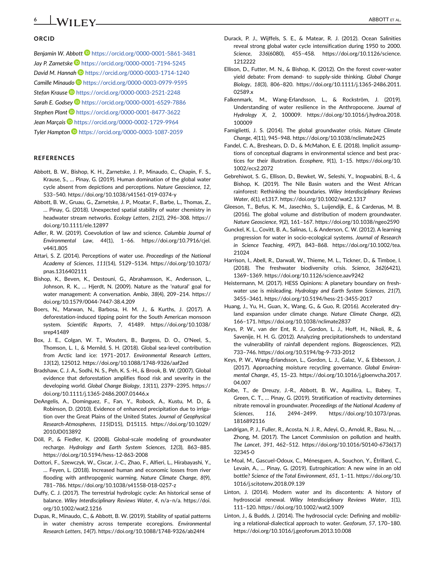# **ORCID**

*Benjamin W. Abbott* <https://orcid.org/0000-0001-5861-3481> Jay P. Zarnetske<sup>D</sup> <https://orcid.org/0000-0001-7194-5245> *David M. Hannah* <https://orcid.org/0000-0003-1714-1240> *Camille Minaudo* <https://orcid.org/0000-0003-0979-9595> *Stefan Krause* <https://orcid.org/0000-0003-2521-2248> *Sarah E. Godsey* <https://orcid.org/0000-0001-6529-7886> *Stephen Plont* <https://orcid.org/0000-0001-8477-3622> *Jean Marçais* <https://orcid.org/0000-0002-1729-9964> *Tyler Hampton* <https://orcid.org/0000-0003-1087-2059>

### **REFERENCES**

- Abbott, B. W., Bishop, K. H., Zarnetske, J. P., Minaudo, C., Chapin, F. S., Krause, S., … Pinay, G. (2019). Human domination of the global water cycle absent from depictions and perceptions. *Nature Geoscience*, *12*, 533–540.<https://doi.org/10.1038/s41561-019-0374-y>
- Abbott, B. W., Gruau, G., Zarnetske, J. P., Moatar, F., Barbe, L., Thomas, Z., … Pinay, G. (2018). Unexpected spatial stability of water chemistry in headwater stream networks. *Ecology Letters*, *21*(2), 296–308. [https://](https://doi.org/10.1111/ele.12897) [doi.org/10.1111/ele.12897](https://doi.org/10.1111/ele.12897)
- Adler, R. W. (2019). Coevolution of law and science. *Columbia Journal of Environmental Law*, *44*(1), 1–66. [https://doi.org/10.7916/cjel.](https://doi.org/10.7916/cjel.v44i1.805) [v44i1.805](https://doi.org/10.7916/cjel.v44i1.805)
- Attari, S. Z. (2014). Perceptions of water use. *Proceedings of the National Academy of Sciences*, *111*(14), 5129–5134. [https://doi.org/10.1073/](https://doi.org/10.1073/pnas.1316402111) [pnas.1316402111](https://doi.org/10.1073/pnas.1316402111)
- Bishop, K., Beven, K., Destouni, G., Abrahamsson, K., Andersson, L., Johnson, R. K., … Hjerdt, N. (2009). Nature as the 'natural' goal for water management: A conversation. *Ambio*, *38*(4), 209–214. [https://](https://doi.org/10.1579/0044-7447-38.4.209) [doi.org/10.1579/0044-7447-38.4.209](https://doi.org/10.1579/0044-7447-38.4.209)
- Boers, N., Marwan, N., Barbosa, H. M. J., & Kurths, J. (2017). A deforestation-induced tipping point for the South American monsoon system. *Scientific Reports*, *7*, 41489. [https://doi.org/10.1038/](https://doi.org/10.1038/srep41489) [srep41489](https://doi.org/10.1038/srep41489)
- Box, J. E., Colgan, W. T., Wouters, B., Burgess, D. O., O'Neel, S., Thomson, L. I., & Mernild, S. H. (2018). Global sea-level contribution from Arctic land ice: 1971–2017. *Environmental Research Letters*, *13*(12), 125012.<https://doi.org/10.1088/1748-9326/aaf2ed>
- Bradshaw, C. J. A., Sodhi, N. S., Peh, K. S.-H., & Brook, B. W. (2007). Global evidence that deforestation amplifies flood risk and severity in the developing world. *Global Change Biology*, *13*(11), 2379–2395. [https://](https://doi.org/10.1111/j.1365-2486.2007.01446.x) [doi.org/10.1111/j.1365-2486.2007.01446.x](https://doi.org/10.1111/j.1365-2486.2007.01446.x)
- DeAngelis, A., Dominguez, F., Fan, Y., Robock, A., Kustu, M. D., & Robinson, D. (2010). Evidence of enhanced precipitation due to irrigation over the Great Plains of the United States. *Journal of Geophysical Research-Atmospheres*, *115*(D15), D15115. [https://doi.org/10.1029/](https://doi.org/10.1029/2010JD013892) [2010JD013892](https://doi.org/10.1029/2010JD013892)
- Döll, P., & Fiedler, K. (2008). Global-scale modeling of groundwater recharge. *Hydrology and Earth System Sciences*, *12*(3), 863–885. <https://doi.org/10.5194/hess-12-863-2008>
- Dottori, F., Szewczyk, W., Ciscar, J.-C., Zhao, F., Alfieri, L., Hirabayashi, Y., … Feyen, L. (2018). Increased human and economic losses from river flooding with anthropogenic warming. *Nature Climate Change*, *8*(9), 781–786.<https://doi.org/10.1038/s41558-018-0257-z>
- Duffy, C. J. (2017). The terrestrial hydrologic cycle: An historical sense of balance. *Wiley Interdisciplinary Reviews Water*, *4*, n/a–n/a. [https://doi.](https://doi.org/10.1002/wat2.1216) [org/10.1002/wat2.1216](https://doi.org/10.1002/wat2.1216)
- Dupas, R., Minaudo, C., & Abbott, B. W. (2019). Stability of spatial patterns in water chemistry across temperate ecoregions. *Environmental Research Letters*, *14*(7).<https://doi.org/10.1088/1748-9326/ab24f4>
- Durack, P. J., Wijffels, S. E., & Matear, R. J. (2012). Ocean Salinities reveal strong global water cycle intensification during 1950 to 2000. *Science*, *336*(6080), 455–458. [https://doi.org/10.1126/science.](https://doi.org/10.1126/science.1212222) [1212222](https://doi.org/10.1126/science.1212222)
- Ellison, D., Futter, M. N., & Bishop, K. (2012). On the forest cover-water yield debate: From demand- to supply-side thinking. *Global Change Biology*, *18*(3), 806–820. [https://doi.org/10.1111/j.1365-2486.2011.](https://doi.org/10.1111/j.1365-2486.2011.02589.x) [02589.x](https://doi.org/10.1111/j.1365-2486.2011.02589.x)
- Falkenmark, M., Wang-Erlandsson, L., & Rockström, J. (2019). Understanding of water resilience in the Anthropocene. *Journal of Hydrology X*, *2*, 100009. [https://doi.org/10.1016/j.hydroa.2018.](https://doi.org/10.1016/j.hydroa.2018.100009) [100009](https://doi.org/10.1016/j.hydroa.2018.100009)
- Famiglietti, J. S. (2014). The global groundwater crisis. *Nature Climate Change*, *4*(11), 945–948.<https://doi.org/10.1038/nclimate2425>
- Fandel, C. A., Breshears, D. D., & McMahon, E. E. (2018). Implicit assumptions of conceptual diagrams in environmental science and best practices for their illustration. *Ecosphere*, *9*(1), 1–15. [https://doi.org/10.](https://doi.org/10.1002/ecs2.2072) [1002/ecs2.2072](https://doi.org/10.1002/ecs2.2072)
- Gebrehiwot, S. G., Ellison, D., Bewket, W., Seleshi, Y., Inogwabini, B.-I., & Bishop, K. (2019). The Nile Basin waters and the West African rainforest: Rethinking the boundaries. *Wiley Interdisciplinary Reviews Water*, *6*(1), e1317.<https://doi.org/10.1002/wat2.1317>
- Gleeson, T., Befus, K. M., Jasechko, S., Luijendijk, E., & Cardenas, M. B. (2016). The global volume and distribution of modern groundwater. *Nature Geoscience*, *9*(2), 161–167.<https://doi.org/10.1038/ngeo2590>
- Gunckel, K. L., Covitt, B. A., Salinas, I., & Anderson, C. W. (2012). A learning progression for water in socio-ecological systems. *Journal of Research in Science Teaching*, *49*(7), 843–868. [https://doi.org/10.1002/tea.](https://doi.org/10.1002/tea.21024) [21024](https://doi.org/10.1002/tea.21024)
- Harrison, I., Abell, R., Darwall, W., Thieme, M. L., Tickner, D., & Timboe, I. (2018). The freshwater biodiversity crisis. *Science*, *362*(6421), 1369–1369.<https://doi.org/10.1126/science.aav9242>
- Heistermann, M. (2017). HESS Opinions: A planetary boundary on freshwater use is misleading. *Hydrology and Earth System Sciences*, *21*(7), 3455–3461.<https://doi.org/10.5194/hess-21-3455-2017>
- Huang, J., Yu, H., Guan, X., Wang, G., & Guo, R. (2016). Accelerated dryland expansion under climate change. *Nature Climate Change*, *6*(2), 166–171.<https://doi.org/10.1038/nclimate2837>
- Keys, P. W., van der Ent, R. J., Gordon, L. J., Hoff, H., Nikoli, R., & Savenije, H. H. G. (2012). Analyzing precipitationsheds to understand the vulnerability of rainfall dependent regions. *Biogeosciences*, *9*(2), 733–746.<https://doi.org/10.5194/bg-9-733-2012>
- Keys, P. W., Wang-Erlandsson, L., Gordon, L. J., Galaz, V., & Ebbesson, J. (2017). Approaching moisture recycling governance. *Global Environmental Change*, *45*, 15–23. [https://doi.org/10.1016/j.gloenvcha.2017.](https://doi.org/10.1016/j.gloenvcha.2017.04.007) [04.007](https://doi.org/10.1016/j.gloenvcha.2017.04.007)
- Kolbe, T., de Dreuzy, J.-R., Abbott, B. W., Aquilina, L., Babey, T., Green, C. T., … Pinay, G. (2019). Stratification of reactivity determines nitrate removal in groundwater. *Proceedings of the National Academy of Sciences*, *116*, 2494–2499. [https://doi.org/10.1073/pnas.](https://doi.org/10.1073/pnas.1816892116) [1816892116](https://doi.org/10.1073/pnas.1816892116)
- Landrigan, P. J., Fuller, R., Acosta, N. J. R., Adeyi, O., Arnold, R., Basu, N., … Zhong, M. (2017). The Lancet Commission on pollution and health. *The Lancet*, *391*, 462–512. [https://doi.org/10.1016/S0140-6736\(17\)](https://doi.org/10.1016/S0140-6736(17)32345-0) [32345-0](https://doi.org/10.1016/S0140-6736(17)32345-0)
- Le Moal, M., Gascuel-Odoux, C., Ménesguen, A., Souchon, Y., Étrillard, C., Levain, A., … Pinay, G. (2019). Eutrophication: A new wine in an old bottle? *Science of the Total Environment*, *651*, 1–11. [https://doi.org/10.](https://doi.org/10.1016/j.scitotenv.2018.09.139) [1016/j.scitotenv.2018.09.139](https://doi.org/10.1016/j.scitotenv.2018.09.139)
- Linton, J. (2014). Modern water and its discontents: A history of hydrosocial renewal. *Wiley Interdisciplinary Reviews Water*, *1*(1), 111–120.<https://doi.org/10.1002/wat2.1009>
- Linton, J., & Budds, J. (2014). The hydrosocial cycle: Defining and mobilizing a relational-dialectical approach to water. *Geoforum*, *57*, 170–180. <https://doi.org/10.1016/j.geoforum.2013.10.008>